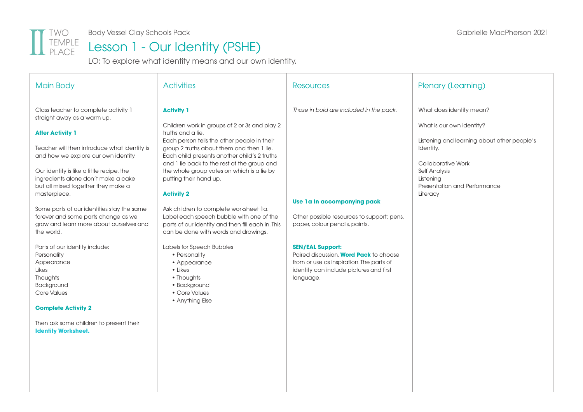

Body Vessel Clay Schools Pack Gabrielle MacPherson 2021

### Lesson 1 - Our Identity (PSHE)

LO: To explore what identity means and our own identity.

| <b>Main Body</b>                                                                                                                                                                                                                                                                                                                                                                                                                                                                                                                                                                                                                                                                                              | <b>Activities</b>                                                                                                                                                                                                                                                                                                                                                                                                                                                                                                                                                                                                                                                                                             | <b>Resources</b>                                                                                                                                                                                                                                                                                                                       | Plenary (Learning)                                                                                                                                                                                                              |
|---------------------------------------------------------------------------------------------------------------------------------------------------------------------------------------------------------------------------------------------------------------------------------------------------------------------------------------------------------------------------------------------------------------------------------------------------------------------------------------------------------------------------------------------------------------------------------------------------------------------------------------------------------------------------------------------------------------|---------------------------------------------------------------------------------------------------------------------------------------------------------------------------------------------------------------------------------------------------------------------------------------------------------------------------------------------------------------------------------------------------------------------------------------------------------------------------------------------------------------------------------------------------------------------------------------------------------------------------------------------------------------------------------------------------------------|----------------------------------------------------------------------------------------------------------------------------------------------------------------------------------------------------------------------------------------------------------------------------------------------------------------------------------------|---------------------------------------------------------------------------------------------------------------------------------------------------------------------------------------------------------------------------------|
| Class teacher to complete activity 1<br>straight away as a warm up.<br><b>After Activity 1</b><br>Teacher will then introduce what identity is<br>and how we explore our own identity.<br>Our identity is like a little recipe, the<br>ingredients alone don't make a cake<br>but all mixed together they make a<br>masterpiece.<br>Some parts of our identities stay the same<br>forever and some parts change as we<br>grow and learn more about ourselves and<br>the world.<br>Parts of our identity include:<br>Personality<br>Appearance<br>Likes<br>Thoughts<br>Background<br><b>Core Values</b><br><b>Complete Activity 2</b><br>Then ask some children to present their<br><b>Identity Worksheet.</b> | <b>Activity 1</b><br>Children work in groups of 2 or 3s and play 2<br>truths and a lie.<br>Each person tells the other people in their<br>group 2 truths about them and then 1 lie.<br>Each child presents another child's 2 truths<br>and 1 lie back to the rest of the group and<br>the whole group votes on which is a lie by<br>putting their hand up.<br><b>Activity 2</b><br>Ask children to complete worksheet 1a.<br>Label each speech bubble with one of the<br>parts of our identity and then fill each in. This<br>can be done with words and drawings.<br>Labels for Speech Bubbles<br>• Personality<br>• Appearance<br>• Likes<br>• Thoughts<br>· Background<br>• Core Values<br>• Anything Else | Those in bold are included in the pack.<br>Use 1a In accompanying pack<br>Other possible resources to support: pens,<br>paper, colour pencils, paints.<br><b>SEN/EAL Support:</b><br>Paired discussion, <b>Word Pack</b> to choose<br>from or use as inspiration. The parts of<br>identity can include pictures and first<br>language. | What does identity mean?<br>What is our own identity?<br>Listening and learning about other people's<br>Identity.<br><b>Collaborative Work</b><br><b>Self Analysis</b><br>Listening<br>Presentation and Performance<br>Literacy |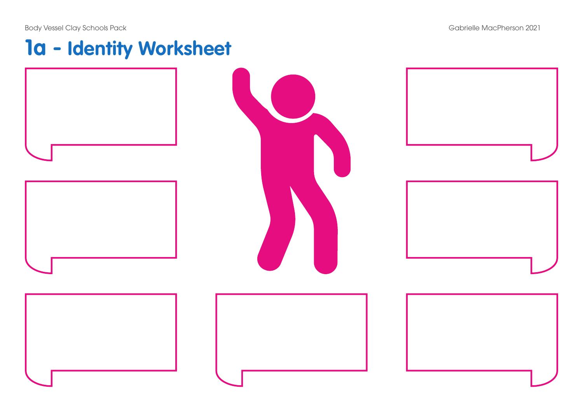## **1a - Identity Worksheet**